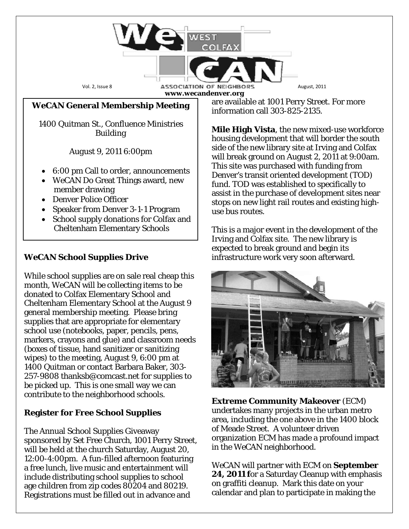Vol. 2, Issue 8 **ASSOCIATION OF NEIGHBORS** August, 2011 **www.wecandenver.org**

### **WeCAN General Membership Meeting**

1400 Quitman St., Confluence Ministries *Building*

*August 9,* 2011 6:00pm

- 6:00 pm Call to order, announcements
- WeCAN Do Great Things award, new member drawing
- Denver Police Officer
- Speaker from Denver 3-1-1 Program
- School supply donations for Colfax and Cheltenham Elementary Schools

## *WeCAN* **School Supplies Drive**

While school supplies are on sale real cheap this month, WeCAN will be collecting items to be donated to Colfax Elementary School and Cheltenham Elementary School at the August 9 general membership meeting. Please bring supplies that are appropriate for elementary school use (notebooks, paper, pencils, pens, markers, crayons and glue) and classroom needs (boxes of tissue, hand sanitizer or sanitizing wipes) to the meeting, August 9, 6:00 pm at 1400 Quitman or contact Barbara Baker, 303- 257-9808 thanksb@comcast.net for supplies to be picked up. This is one small way we can contribute to the neighborhood schools.

### **Register for Free School Supplies**

The Annual School Supplies Giveaway sponsored by Set Free Church, 1001 Perry Street, will be held at the church Saturday, August 20, 12:00-4:00pm. A fun-filled afternoon featuring a free lunch, live music and entertainment will include distributing school supplies to school age children from zip codes 80204 and 80219. Registrations must be filled out in advance and

are available at 1001 Perry Street. For more information call 303-825-2135.

**Mile High Vista**, the new mixed-use workforce housing development that will border the south side of the new library site at Irving and Colfax will break ground on August 2, 2011 at 9:00am. This site was purchased with funding from Denver's transit oriented development (TOD) fund. TOD was established to specifically to assist in the purchase of development sites near stops on new light rail routes and existing highuse bus routes.

This is a major event in the development of the Irving and Colfax site. The new library is expected to break ground and begin its infrastructure work very soon afterward.



**Extreme Community Makeover** (ECM) undertakes many projects in the urban metro area, including the one above in the 1400 block of Meade Street. A volunteer driven organization ECM has made a profound impact in the *WeCAN* neighborhood.

*WeCAN* will partner with ECM on **September 24, 2011 f**or a Saturday Cleanup with emphasis on graffiti cleanup. Mark this date on your calendar and plan to participate in making the